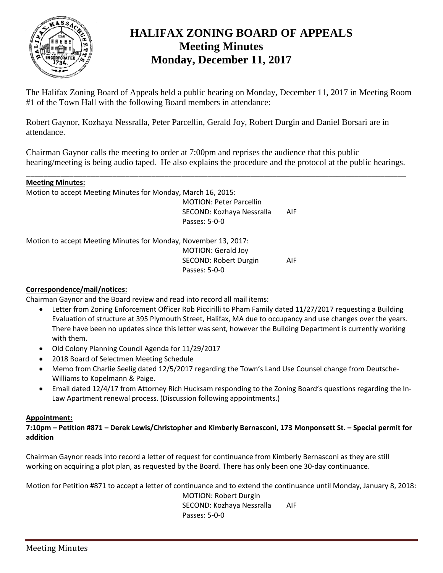

# **HALIFAX ZONING BOARD OF APPEALS Meeting Minutes Monday, December 11, 2017**

The Halifax Zoning Board of Appeals held a public hearing on Monday, December 11, 2017 in Meeting Room #1 of the Town Hall with the following Board members in attendance:

Robert Gaynor, Kozhaya Nessralla, Peter Parcellin, Gerald Joy, Robert Durgin and Daniel Borsari are in attendance.

Chairman Gaynor calls the meeting to order at 7:00pm and reprises the audience that this public hearing/meeting is being audio taped. He also explains the procedure and the protocol at the public hearings.

\_\_\_\_\_\_\_\_\_\_\_\_\_\_\_\_\_\_\_\_\_\_\_\_\_\_\_\_\_\_\_\_\_\_\_\_\_\_\_\_\_\_\_\_\_\_\_\_\_\_\_\_\_\_\_\_\_\_\_\_\_\_\_\_\_\_\_\_\_\_\_\_\_\_\_\_\_\_\_\_\_\_\_\_\_\_\_\_

| <b>Meeting Minutes:</b> |
|-------------------------|
|                         |

Motion to accept Meeting Minutes for Monday, March 16, 2015:

MOTION: Peter Parcellin SECOND: Kozhaya Nessralla AIF Passes: 5-0-0

Motion to accept Meeting Minutes for Monday, November 13, 2017:

MOTION: Gerald Joy SECOND: Robert Durgin AIF Passes: 5-0-0

## **Correspondence/mail/notices:**

Chairman Gaynor and the Board review and read into record all mail items:

- Letter from Zoning Enforcement Officer Rob Piccirilli to Pham Family dated 11/27/2017 requesting a Building Evaluation of structure at 395 Plymouth Street, Halifax, MA due to occupancy and use changes over the years. There have been no updates since this letter was sent, however the Building Department is currently working with them.
- Old Colony Planning Council Agenda for 11/29/2017
- 2018 Board of Selectmen Meeting Schedule
- Memo from Charlie Seelig dated 12/5/2017 regarding the Town's Land Use Counsel change from Deutsche-Williams to Kopelmann & Paige.
- Email dated 12/4/17 from Attorney Rich Hucksam responding to the Zoning Board's questions regarding the In-Law Apartment renewal process. (Discussion following appointments.)

## **Appointment:**

**7:10pm – Petition #871 – Derek Lewis/Christopher and Kimberly Bernasconi, 173 Monponsett St. – Special permit for addition**

Chairman Gaynor reads into record a letter of request for continuance from Kimberly Bernasconi as they are still working on acquiring a plot plan, as requested by the Board. There has only been one 30-day continuance.

Motion for Petition #871 to accept a letter of continuance and to extend the continuance until Monday, January 8, 2018:

MOTION: Robert Durgin SECOND: Kozhaya Nessralla AIF Passes: 5-0-0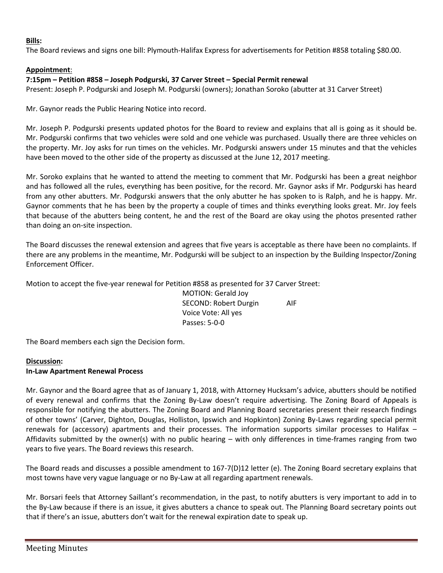### **Bills:**

The Board reviews and signs one bill: Plymouth-Halifax Express for advertisements for Petition #858 totaling \$80.00.

## **Appointment**:

#### **7:15pm – Petition #858 – Joseph Podgurski, 37 Carver Street – Special Permit renewal**

Present: Joseph P. Podgurski and Joseph M. Podgurski (owners); Jonathan Soroko (abutter at 31 Carver Street)

Mr. Gaynor reads the Public Hearing Notice into record.

Mr. Joseph P. Podgurski presents updated photos for the Board to review and explains that all is going as it should be. Mr. Podgurski confirms that two vehicles were sold and one vehicle was purchased. Usually there are three vehicles on the property. Mr. Joy asks for run times on the vehicles. Mr. Podgurski answers under 15 minutes and that the vehicles have been moved to the other side of the property as discussed at the June 12, 2017 meeting.

Mr. Soroko explains that he wanted to attend the meeting to comment that Mr. Podgurski has been a great neighbor and has followed all the rules, everything has been positive, for the record. Mr. Gaynor asks if Mr. Podgurski has heard from any other abutters. Mr. Podgurski answers that the only abutter he has spoken to is Ralph, and he is happy. Mr. Gaynor comments that he has been by the property a couple of times and thinks everything looks great. Mr. Joy feels that because of the abutters being content, he and the rest of the Board are okay using the photos presented rather than doing an on-site inspection.

The Board discusses the renewal extension and agrees that five years is acceptable as there have been no complaints. If there are any problems in the meantime, Mr. Podgurski will be subject to an inspection by the Building Inspector/Zoning Enforcement Officer.

Motion to accept the five-year renewal for Petition #858 as presented for 37 Carver Street:

MOTION: Gerald Joy SECOND: Robert Durgin AIF Voice Vote: All yes Passes: 5-0-0

The Board members each sign the Decision form.

#### **Discussion:**

#### **In-Law Apartment Renewal Process**

Mr. Gaynor and the Board agree that as of January 1, 2018, with Attorney Hucksam's advice, abutters should be notified of every renewal and confirms that the Zoning By-Law doesn't require advertising. The Zoning Board of Appeals is responsible for notifying the abutters. The Zoning Board and Planning Board secretaries present their research findings of other towns' (Carver, Dighton, Douglas, Holliston, Ipswich and Hopkinton) Zoning By-Laws regarding special permit renewals for (accessory) apartments and their processes. The information supports similar processes to Halifax – Affidavits submitted by the owner(s) with no public hearing – with only differences in time-frames ranging from two years to five years. The Board reviews this research.

The Board reads and discusses a possible amendment to 167-7(D)12 letter (e). The Zoning Board secretary explains that most towns have very vague language or no By-Law at all regarding apartment renewals.

Mr. Borsari feels that Attorney Saillant's recommendation, in the past, to notify abutters is very important to add in to the By-Law because if there is an issue, it gives abutters a chance to speak out. The Planning Board secretary points out that if there's an issue, abutters don't wait for the renewal expiration date to speak up.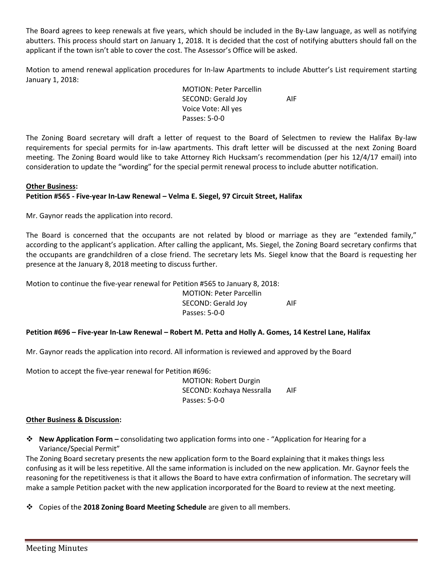The Board agrees to keep renewals at five years, which should be included in the By-Law language, as well as notifying abutters. This process should start on January 1, 2018. It is decided that the cost of notifying abutters should fall on the applicant if the town isn't able to cover the cost. The Assessor's Office will be asked.

Motion to amend renewal application procedures for In-law Apartments to include Abutter's List requirement starting January 1, 2018:

> MOTION: Peter Parcellin SECOND: Gerald Joy AIF Voice Vote: All yes Passes: 5-0-0

The Zoning Board secretary will draft a letter of request to the Board of Selectmen to review the Halifax By-law requirements for special permits for in-law apartments. This draft letter will be discussed at the next Zoning Board meeting. The Zoning Board would like to take Attorney Rich Hucksam's recommendation (per his 12/4/17 email) into consideration to update the "wording" for the special permit renewal process to include abutter notification.

## **Other Business:**

### **Petition #565 - Five-year In-Law Renewal – Velma E. Siegel, 97 Circuit Street, Halifax**

Mr. Gaynor reads the application into record.

The Board is concerned that the occupants are not related by blood or marriage as they are "extended family," according to the applicant's application. After calling the applicant, Ms. Siegel, the Zoning Board secretary confirms that the occupants are grandchildren of a close friend. The secretary lets Ms. Siegel know that the Board is requesting her presence at the January 8, 2018 meeting to discuss further.

Motion to continue the five-year renewal for Petition #565 to January 8, 2018:

MOTION: Peter Parcellin SECOND: Gerald Joy AIF Passes: 5-0-0

#### **Petition #696 – Five-year In-Law Renewal – Robert M. Petta and Holly A. Gomes, 14 Kestrel Lane, Halifax**

Mr. Gaynor reads the application into record. All information is reviewed and approved by the Board

Motion to accept the five-year renewal for Petition #696:

MOTION: Robert Durgin SECOND: Kozhaya Nessralla AIF Passes: 5-0-0

#### **Other Business & Discussion:**

❖ **New Application Form –** consolidating two application forms into one - "Application for Hearing for a Variance/Special Permit"

The Zoning Board secretary presents the new application form to the Board explaining that it makes things less confusing as it will be less repetitive. All the same information is included on the new application. Mr. Gaynor feels the reasoning for the repetitiveness is that it allows the Board to have extra confirmation of information. The secretary will make a sample Petition packet with the new application incorporated for the Board to review at the next meeting.

❖ Copies of the **2018 Zoning Board Meeting Schedule** are given to all members.